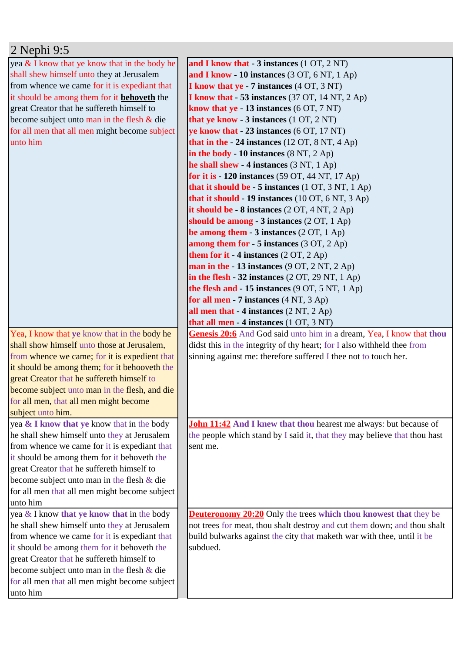| 2 Nephi 9:5 |
|-------------|
|-------------|

| yea $&$ I know that ye know that in the body he           | and I know that $-3$ instances $(1 OT, 2 NT)$                             |
|-----------------------------------------------------------|---------------------------------------------------------------------------|
| shall shew himself unto they at Jerusalem                 | and I know $-10$ instances (3 OT, 6 NT, 1 Ap)                             |
| from whence we came for it is expediant that              | <b>I know that ye - 7 instances (4 OT, 3 NT)</b>                          |
| it should be among them for it behoveth the               | <b>I know that - 53 instances</b> (37 OT, 14 NT, 2 Ap)                    |
| great Creator that he suffereth himself to                | know that $ye - 13$ instances (6 OT, 7 NT)                                |
| become subject unto man in the flesh $&$ die              | that ye know - 3 instances (1 OT, 2 NT)                                   |
| for all men that all men might become subject             | ye know that $-23$ instances $(6 \text{ OT}, 17 \text{ NT})$              |
| unto him                                                  | that in the $-24$ instances (12 OT, 8 NT, 4 Ap)                           |
|                                                           | in the body - 10 instances $(8 \text{ NT}, 2 \text{ Ap})$                 |
|                                                           | he shall shew $-4$ instances (3 NT, 1 Ap)                                 |
|                                                           | for it is $-120$ instances (59 OT, 44 NT, 17 Ap)                          |
|                                                           | that it should be $-5$ instances (1 OT, 3 NT, 1 Ap)                       |
|                                                           | that it should - 19 instances (10 OT, 6 NT, 3 Ap)                         |
|                                                           | it should be $-8$ instances $(2 OT, 4 NT, 2 Ap)$                          |
|                                                           | should be among $-3$ instances (2 OT, 1 Ap)                               |
|                                                           | be among them $-3$ instances (2 OT, 1 Ap)                                 |
|                                                           | among them for $-5$ instances (3 OT, 2 Ap)                                |
|                                                           | <b>them for it - 4 instances</b> $(2 OT, 2 Ap)$                           |
|                                                           | man in the $-13$ instances (9 OT, 2 NT, 2 Ap)                             |
|                                                           | in the flesh $-32$ instances (2 OT, 29 NT, 1 Ap)                          |
|                                                           | the flesh and $-15$ instances (9 OT, 5 NT, 1 Ap)                          |
|                                                           | for all men - $7$ instances $(4 \text{ NT}, 3 \text{ Ap})$                |
|                                                           | all men that $-4$ instances $(2 \text{ NT}, 2 \text{ Ap})$                |
|                                                           | that all men - 4 instances (1 OT, 3 NT)                                   |
|                                                           |                                                                           |
| Yea, I know that ye know that in the body he              | Genesis 20:6 And God said unto him in a dream, Yea, I know that thou      |
| shall show himself unto those at Jerusalem,               | didst this in the integrity of thy heart; for I also withheld thee from   |
| from whence we came; for it is expedient that             | sinning against me: therefore suffered I thee not to touch her.           |
| it should be among them; for it behooveth the             |                                                                           |
| great Creator that he suffereth himself to                |                                                                           |
| become subject unto man in the flesh, and die             |                                                                           |
| for all men, that all men might become                    |                                                                           |
| subject unto him.                                         |                                                                           |
| yea & I know that ye know that in the body                | John 11:42 And I knew that thou hearest me always: but because of         |
| he shall shew himself unto they at Jerusalem              | the people which stand by I said it, that they may believe that thou hast |
| from whence we came for it is expediant that              | sent me.                                                                  |
| it should be among them for it behoveth the               |                                                                           |
| great Creator that he suffereth himself to                |                                                                           |
| become subject unto man in the flesh $\&$ die             |                                                                           |
| for all men that all men might become subject             |                                                                           |
| unto him                                                  |                                                                           |
| yea & I know that ye know that in the body                | <b>Deuteronomy 20:20</b> Only the trees which thou knowest that they be   |
| he shall shew himself unto they at Jerusalem              | not trees for meat, thou shalt destroy and cut them down; and thou shalt  |
| from whence we came for it is expediant that              | build bulwarks against the city that maketh war with thee, until it be    |
| it should be among them for it behoveth the               | subdued.                                                                  |
| great Creator that he suffereth himself to                |                                                                           |
| become subject unto man in the flesh $\&$ die             |                                                                           |
| for all men that all men might become subject<br>unto him |                                                                           |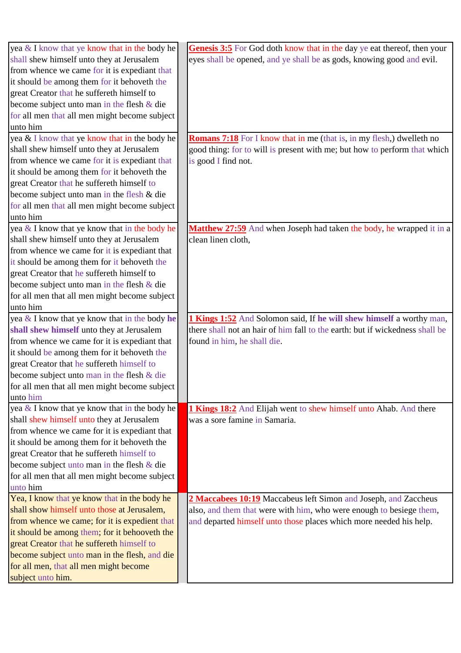| yea & I know that ye know that in the body he | Genesis 3:5 For God doth know that in the day ye eat thereof, then your      |
|-----------------------------------------------|------------------------------------------------------------------------------|
| shall shew himself unto they at Jerusalem     | eyes shall be opened, and ye shall be as gods, knowing good and evil.        |
| from whence we came for it is expediant that  |                                                                              |
| it should be among them for it behoveth the   |                                                                              |
| great Creator that he suffereth himself to    |                                                                              |
| become subject unto man in the flesh & die    |                                                                              |
| for all men that all men might become subject |                                                                              |
| unto him                                      |                                                                              |
| yea & I know that ye know that in the body he | <b>Romans 7:18</b> For I know that in me (that is, in my flesh,) dwelleth no |
| shall shew himself unto they at Jerusalem     | good thing: for to will is present with me; but how to perform that which    |
| from whence we came for it is expediant that  | is good I find not.                                                          |
| it should be among them for it behoveth the   |                                                                              |
| great Creator that he suffereth himself to    |                                                                              |
| become subject unto man in the flesh & die    |                                                                              |
| for all men that all men might become subject |                                                                              |
| unto him                                      |                                                                              |
| yea & I know that ye know that in the body he | <b>Matthew 27:59</b> And when Joseph had taken the body, he wrapped it in a  |
| shall shew himself unto they at Jerusalem     | clean linen cloth,                                                           |
| from whence we came for it is expediant that  |                                                                              |
| it should be among them for it behoveth the   |                                                                              |
| great Creator that he suffereth himself to    |                                                                              |
| become subject unto man in the flesh & die    |                                                                              |
| for all men that all men might become subject |                                                                              |
| unto him                                      |                                                                              |
| yea & I know that ye know that in the body he | 1 Kings 1:52 And Solomon said, If he will shew himself a worthy man,         |
| shall shew himself unto they at Jerusalem     | there shall not an hair of him fall to the earth: but if wickedness shall be |
| from whence we came for it is expediant that  | found in him, he shall die.                                                  |
| it should be among them for it behoveth the   |                                                                              |
| great Creator that he suffereth himself to    |                                                                              |
| become subject unto man in the flesh & die    |                                                                              |
| for all men that all men might become subject |                                                                              |
| unto him                                      |                                                                              |
| yea & I know that ye know that in the body he | 1 Kings 18:2 And Elijah went to shew himself unto Ahab. And there            |
| shall shew himself unto they at Jerusalem     | was a sore famine in Samaria.                                                |
| from whence we came for it is expediant that  |                                                                              |
| it should be among them for it behoveth the   |                                                                              |
| great Creator that he suffereth himself to    |                                                                              |
| become subject unto man in the flesh $\&$ die |                                                                              |
| for all men that all men might become subject |                                                                              |
| unto him                                      |                                                                              |
| Yea, I know that ye know that in the body he  | 2 Maccabees 10:19 Maccabeus left Simon and Joseph, and Zaccheus              |
| shall show himself unto those at Jerusalem,   | also, and them that were with him, who were enough to besiege them,          |
| from whence we came; for it is expedient that | and departed himself unto those places which more needed his help.           |
| it should be among them; for it behooveth the |                                                                              |
| great Creator that he suffereth himself to    |                                                                              |
| become subject unto man in the flesh, and die |                                                                              |
| for all men, that all men might become        |                                                                              |
| subject unto him.                             |                                                                              |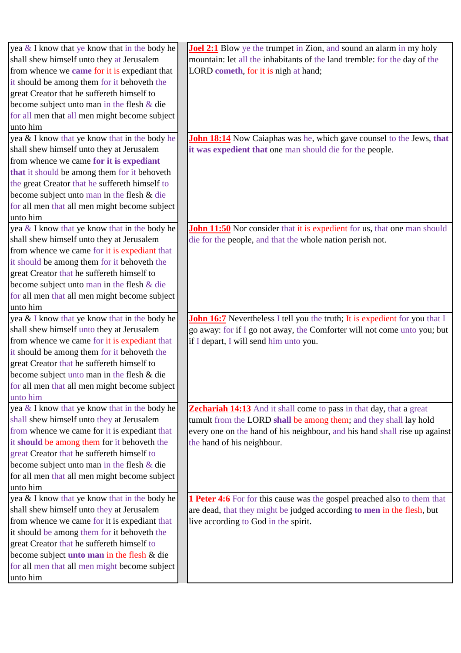| yea $\&$ I know that ye know that in the body he    | <b>Joel 2:1</b> Blow ye the trumpet in Zion, and sound an alarm in my holy         |
|-----------------------------------------------------|------------------------------------------------------------------------------------|
| shall shew himself unto they at Jerusalem           | mountain: let all the inhabitants of the land tremble: for the day of the          |
| from whence we <b>came</b> for it is expediant that | LORD cometh, for it is nigh at hand;                                               |
| it should be among them for it behoveth the         |                                                                                    |
| great Creator that he suffereth himself to          |                                                                                    |
| become subject unto man in the flesh $\&$ die       |                                                                                    |
| for all men that all men might become subject       |                                                                                    |
| unto him                                            |                                                                                    |
| yea & I know that ye know that in the body he       | <b>John 18:14</b> Now Caiaphas was he, which gave counsel to the Jews, that        |
| shall shew himself unto they at Jerusalem           | it was expedient that one man should die for the people.                           |
| from whence we came for it is expediant             |                                                                                    |
| that it should be among them for it behoveth        |                                                                                    |
| the great Creator that he suffereth himself to      |                                                                                    |
| become subject unto man in the flesh & die          |                                                                                    |
| for all men that all men might become subject       |                                                                                    |
| unto him                                            |                                                                                    |
| yea & I know that ye know that in the body he       | <b>John 11:50</b> Nor consider that it is expedient for us, that one man should    |
| shall shew himself unto they at Jerusalem           | die for the people, and that the whole nation perish not.                          |
| from whence we came for it is expediant that        |                                                                                    |
| it should be among them for it behoveth the         |                                                                                    |
| great Creator that he suffereth himself to          |                                                                                    |
| become subject unto man in the flesh $&$ die        |                                                                                    |
| for all men that all men might become subject       |                                                                                    |
| unto him                                            |                                                                                    |
| yea & I know that ye know that in the body he       | <b>John 16:7</b> Nevertheless I tell you the truth; It is expedient for you that I |
| shall shew himself unto they at Jerusalem           | go away: for if I go not away, the Comforter will not come unto you; but           |
| from whence we came for it is expediant that        | if I depart, I will send him unto you.                                             |
| it should be among them for it behoveth the         |                                                                                    |
| great Creator that he suffereth himself to          |                                                                                    |
| become subject unto man in the flesh & die          |                                                                                    |
| for all men that all men might become subject       |                                                                                    |
| unto him                                            |                                                                                    |
| yea & I know that ye know that in the body he       | <b>Zechariah 14:13</b> And it shall come to pass in that day, that a great         |
| shall shew himself unto they at Jerusalem           | tumult from the LORD shall be among them; and they shall lay hold                  |
| from whence we came for it is expediant that        | every one on the hand of his neighbour, and his hand shall rise up against         |
| it should be among them for it behoveth the         | the hand of his neighbour.                                                         |
| great Creator that he suffereth himself to          |                                                                                    |
| become subject unto man in the flesh $&$ die        |                                                                                    |
| for all men that all men might become subject       |                                                                                    |
| unto him                                            |                                                                                    |
| yea & I know that ye know that in the body he       | <b>1 Peter 4:6</b> For for this cause was the gospel preached also to them that    |
| shall shew himself unto they at Jerusalem           | are dead, that they might be judged according to men in the flesh, but             |
| from whence we came for it is expediant that        | live according to God in the spirit.                                               |
| it should be among them for it behoveth the         |                                                                                    |
| great Creator that he suffereth himself to          |                                                                                    |
| become subject unto man in the flesh & die          |                                                                                    |
| for all men that all men might become subject       |                                                                                    |
| unto him                                            |                                                                                    |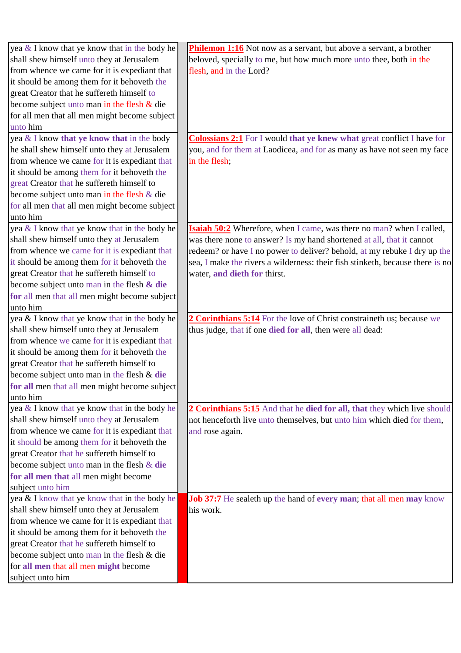| yea & I know that ye know that in the body he             | <b>Philemon 1:16</b> Not now as a servant, but above a servant, a brother     |
|-----------------------------------------------------------|-------------------------------------------------------------------------------|
| shall shew himself unto they at Jerusalem                 | beloved, specially to me, but how much more unto thee, both in the            |
| from whence we came for it is expediant that              | flesh, and in the Lord?                                                       |
| it should be among them for it behoveth the               |                                                                               |
| great Creator that he suffereth himself to                |                                                                               |
| become subject unto man in the flesh & die                |                                                                               |
| for all men that all men might become subject             |                                                                               |
| unto him                                                  |                                                                               |
| yea & I know that ye know that in the body                | <b>Colossians 2:1</b> For I would that ye knew what great conflict I have for |
| he shall shew himself unto they at Jerusalem              | you, and for them at Laodicea, and for as many as have not seen my face       |
| from whence we came for it is expediant that              | in the flesh;                                                                 |
| it should be among them for it behoveth the               |                                                                               |
| great Creator that he suffereth himself to                |                                                                               |
| become subject unto man in the flesh & die                |                                                                               |
| for all men that all men might become subject             |                                                                               |
| unto him                                                  |                                                                               |
| yea & I know that ye know that in the body he             | Isaiah 50:2 Wherefore, when I came, was there no man? when I called,          |
| shall shew himself unto they at Jerusalem                 | was there none to answer? Is my hand shortened at all, that it cannot         |
| from whence we came for it is expediant that              | redeem? or have I no power to deliver? behold, at my rebuke I dry up the      |
| it should be among them for it behoveth the               | sea, I make the rivers a wilderness: their fish stinketh, because there is no |
| great Creator that he suffereth himself to                | water, and dieth for thirst.                                                  |
| become subject unto man in the flesh $\&$ die             |                                                                               |
| for all men that all men might become subject             |                                                                               |
| unto him                                                  |                                                                               |
| yea & I know that ye know that in the body he             | 2 Corinthians 5:14 For the love of Christ constraineth us; because we         |
| shall shew himself unto they at Jerusalem                 | thus judge, that if one died for all, then were all dead:                     |
| from whence we came for it is expediant that              |                                                                               |
| it should be among them for it behoveth the               |                                                                               |
| great Creator that he suffereth himself to                |                                                                               |
| become subject unto man in the flesh & die                |                                                                               |
| for all men that all men might become subject             |                                                                               |
| unto him                                                  |                                                                               |
| yea & I know that ye know that in the body he             | 2 Corinthians 5:15 And that he died for all, that they which live should      |
| shall shew himself unto they at Jerusalem                 | not henceforth live unto themselves, but unto him which died for them,        |
| from whence we came for it is expediant that              | and rose again.                                                               |
| it should be among them for it behoveth the               |                                                                               |
| great Creator that he suffereth himself to                |                                                                               |
| become subject unto man in the flesh $&$ die              |                                                                               |
| for all men that all men might become                     |                                                                               |
| subject unto him                                          |                                                                               |
| yea & I know that ye know that in the body he             | <b>Job 37:7</b> He sealeth up the hand of every man; that all men may know    |
| shall shew himself unto they at Jerusalem                 | his work.                                                                     |
| from whence we came for it is expediant that              |                                                                               |
| it should be among them for it behoveth the               |                                                                               |
| great Creator that he suffereth himself to                |                                                                               |
| become subject unto man in the flesh & die                |                                                                               |
|                                                           |                                                                               |
| for all men that all men might become<br>subject unto him |                                                                               |